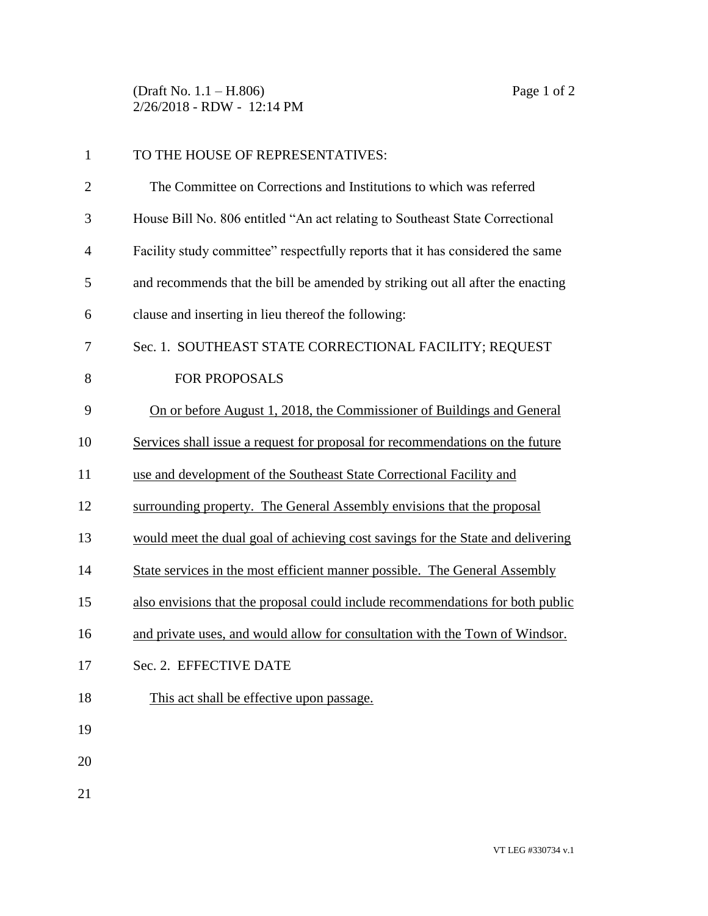(Draft No. 1.1 – H.806) Page 1 of 2 2/26/2018 - RDW - 12:14 PM

| $\mathbf{1}$   | TO THE HOUSE OF REPRESENTATIVES:                                                |
|----------------|---------------------------------------------------------------------------------|
| $\overline{2}$ | The Committee on Corrections and Institutions to which was referred             |
| 3              | House Bill No. 806 entitled "An act relating to Southeast State Correctional    |
| 4              | Facility study committee" respectfully reports that it has considered the same  |
| 5              | and recommends that the bill be amended by striking out all after the enacting  |
| 6              | clause and inserting in lieu thereof the following:                             |
| 7              | Sec. 1. SOUTHEAST STATE CORRECTIONAL FACILITY; REQUEST                          |
| 8              | <b>FOR PROPOSALS</b>                                                            |
| 9              | On or before August 1, 2018, the Commissioner of Buildings and General          |
| 10             | Services shall issue a request for proposal for recommendations on the future   |
| 11             | use and development of the Southeast State Correctional Facility and            |
| 12             | surrounding property. The General Assembly envisions that the proposal          |
| 13             | would meet the dual goal of achieving cost savings for the State and delivering |
| 14             | State services in the most efficient manner possible. The General Assembly      |
| 15             | also envisions that the proposal could include recommendations for both public  |
| 16             | and private uses, and would allow for consultation with the Town of Windsor.    |
| 17             | Sec. 2. EFFECTIVE DATE                                                          |
| 18             | This act shall be effective upon passage.                                       |
| 19             |                                                                                 |
| 20             |                                                                                 |
| 21             |                                                                                 |